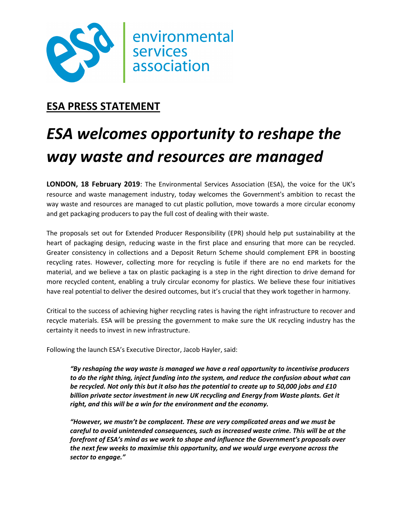

## **ESA PRESS STATEMENT**

# *ESA welcomes opportunity to reshape the way waste and resources are managed*

**LONDON, 18 February 2019**: The Environmental Services Association (ESA), the voice for the UK's resource and waste management industry, today welcomes the Government's ambition to recast the way waste and resources are managed to cut plastic pollution, move towards a more circular economy and get packaging producers to pay the full cost of dealing with their waste.

The proposals set out for Extended Producer Responsibility (EPR) should help put sustainability at the heart of packaging design, reducing waste in the first place and ensuring that more can be recycled. Greater consistency in collections and a Deposit Return Scheme should complement EPR in boosting recycling rates. However, collecting more for recycling is futile if there are no end markets for the material, and we believe a tax on plastic packaging is a step in the right direction to drive demand for more recycled content, enabling a truly circular economy for plastics. We believe these four initiatives have real potential to deliver the desired outcomes, but it's crucial that they work together in harmony.

Critical to the success of achieving higher recycling rates is having the right infrastructure to recover and recycle materials. ESA will be pressing the government to make sure the UK recycling industry has the certainty it needs to invest in new infrastructure.

Following the launch ESA's Executive Director, Jacob Hayler, said:

*"By reshaping the way waste is managed we have a real opportunity to incentivise producers to do the right thing, inject funding into the system, and reduce the confusion about what can be recycled. Not only this but it also has the potential to create up to 50,000 jobs and £10 billion private sector investment in new UK recycling and Energy from Waste plants. Get it right, and this will be a win for the environment and the economy.* 

*"However, we mustn't be complacent. These are very complicated areas and we must be careful to avoid unintended consequences, such as increased waste crime. This will be at the forefront of ESA's mind as we work to shape and influence the Government's proposals over the next few weeks to maximise this opportunity, and we would urge everyone across the sector to engage."*